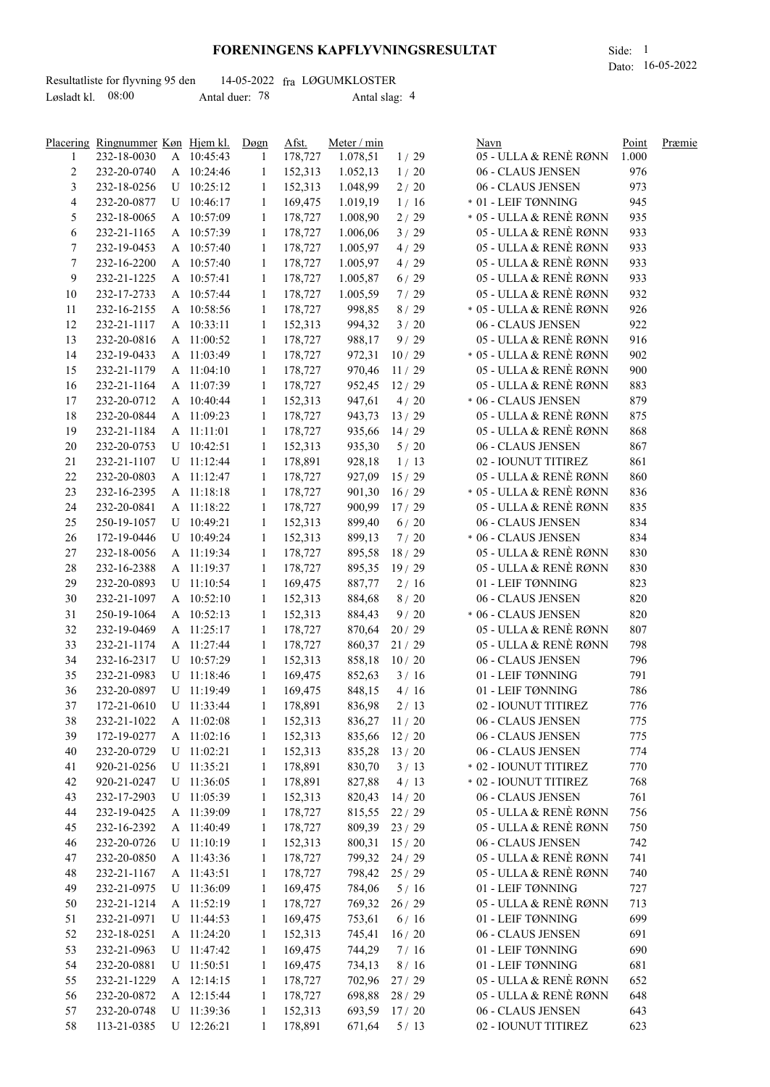## **FORENINGENS KAPFLYVNINGSRESULTAT** Side: 1

|                     | Resultatliste for flyvning 95 den |                |  | 14-05-2022 fra LØGUMKLOSTER |  |
|---------------------|-----------------------------------|----------------|--|-----------------------------|--|
| Løsladt kl. $08:00$ |                                   | Antal duer: 78 |  | Antal slag: 4               |  |

|                | Placering Ringnummer Køn Hjem kl. |            | Døgn         | Afst.   | Meter / min    |              | Navn                    | Point | Præmie |
|----------------|-----------------------------------|------------|--------------|---------|----------------|--------------|-------------------------|-------|--------|
| 1              | 232-18-0030                       | A 10:45:43 | 1            | 178,727 | 1.078,51       | 1/29         | 05 - ULLA & RENÈ RØNN   | 1.000 |        |
| $\overline{c}$ | 232-20-0740                       | A 10:24:46 | 1            | 152,313 | 1.052,13       | 1/20         | 06 - CLAUS JENSEN       | 976   |        |
| 3              | 232-18-0256                       | U 10:25:12 | 1            | 152,313 | 1.048,99       | 2/20         | 06 - CLAUS JENSEN       | 973   |        |
| 4              | 232-20-0877                       | U 10:46:17 | -1           | 169,475 | 1.019,19       | 1/16         | * 01 - LEIF TØNNING     | 945   |        |
| 5              | 232-18-0065                       | A 10:57:09 | 1            | 178,727 | 1.008,90       | 2/29         | * 05 - ULLA & RENÈ RØNN | 935   |        |
| 6              | 232-21-1165                       | A 10:57:39 | 1            | 178,727 | 1.006,06       | 3/29         | 05 - ULLA & RENÈ RØNN   | 933   |        |
| 7              | 232-19-0453                       | A 10:57:40 | 1            | 178,727 | 1.005,97       | 4/29         | 05 - ULLA & RENÈ RØNN   | 933   |        |
| 7              | 232-16-2200                       | A 10:57:40 | 1            | 178,727 | 1.005,97       | 4/29         | 05 - ULLA & RENÈ RØNN   | 933   |        |
| 9              | 232-21-1225                       | A 10:57:41 |              | 178,727 |                |              | 05 - ULLA & RENÈ RØNN   | 933   |        |
|                |                                   |            | 1            |         | 1.005,87       | 6/29         |                         |       |        |
| 10             | 232-17-2733                       | A 10:57:44 | 1            | 178,727 | 1.005,59       | 7/29         | 05 - ULLA & RENÈ RØNN   | 932   |        |
| 11             | 232-16-2155                       | A 10:58:56 | 1            | 178,727 | 998,85         | 8/29         | * 05 - ULLA & RENÈ RØNN | 926   |        |
| 12             | 232-21-1117                       | A 10:33:11 | 1            | 152,313 | 994,32         | 3/20         | 06 - CLAUS JENSEN       | 922   |        |
| 13             | 232-20-0816                       | A 11:00:52 | 1            | 178,727 | 988,17         | 9/29         | 05 - ULLA & RENÈ RØNN   | 916   |        |
| 14             | 232-19-0433                       | A 11:03:49 | 1            | 178,727 | 972,31         | 10/29        | * 05 - ULLA & RENÈ RØNN | 902   |        |
| 15             | 232-21-1179                       | A 11:04:10 | 1            | 178,727 | 970,46         | 11/29        | 05 - ULLA & RENÈ RØNN   | 900   |        |
| 16             | 232-21-1164                       | A 11:07:39 | 1            | 178,727 | 952,45         | 12/29        | 05 - ULLA & RENÈ RØNN   | 883   |        |
| 17             | 232-20-0712                       | A 10:40:44 | 1            | 152,313 | 947,61         | 4/20         | * 06 - CLAUS JENSEN     | 879   |        |
| 18             | 232-20-0844                       | A 11:09:23 | 1            | 178,727 | 943,73         | 13/29        | 05 - ULLA & RENÈ RØNN   | 875   |        |
| 19             | 232-21-1184                       | A 11:11:01 | 1            | 178,727 | 935,66         | 14/29        | 05 - ULLA & RENÈ RØNN   | 868   |        |
| 20             | 232-20-0753                       | U 10:42:51 | 1            | 152,313 | 935,30         | $5/20$       | 06 - CLAUS JENSEN       | 867   |        |
| 21             | 232-21-1107                       | U 11:12:44 | 1            | 178,891 | 928,18         | 1/13         | 02 - IOUNUT TITIREZ     | 861   |        |
| 22             | 232-20-0803                       | A 11:12:47 | 1            | 178,727 | 927,09         | 15/29        | 05 - ULLA & RENÈ RØNN   | 860   |        |
| 23             | 232-16-2395                       | A 11:18:18 | 1            | 178,727 | 901,30         | 16/29        | * 05 - ULLA & RENÈ RØNN | 836   |        |
| 24             | 232-20-0841                       | A 11:18:22 | 1            | 178,727 | 900,99         | 17/29        | 05 - ULLA & RENÈ RØNN   | 835   |        |
| 25             | 250-19-1057                       | U 10:49:21 | 1            | 152,313 | 899,40         | 6/20         | 06 - CLAUS JENSEN       | 834   |        |
| 26             | 172-19-0446                       | U 10:49:24 | $\mathbf{1}$ | 152,313 | 899,13         | 7/20         | * 06 - CLAUS JENSEN     | 834   |        |
| 27             | 232-18-0056                       | A 11:19:34 | $\mathbf{1}$ | 178,727 | 895,58         | 18/29        | 05 - ULLA & RENÈ RØNN   | 830   |        |
| 28             | 232-16-2388                       | A 11:19:37 | $\mathbf{1}$ | 178,727 | 895,35 19/29   |              | 05 - ULLA & RENÈ RØNN   | 830   |        |
| 29             |                                   |            |              | 169,475 |                |              |                         | 823   |        |
|                | 232-20-0893                       | U 11:10:54 | $\mathbf{1}$ |         | 887,77         | 2/16         | 01 - LEIF TØNNING       |       |        |
| 30             | 232-21-1097                       | A 10:52:10 | $\mathbf{1}$ | 152,313 | 884,68         | 8/20         | 06 - CLAUS JENSEN       | 820   |        |
| 31             | 250-19-1064                       | A 10:52:13 | $\mathbf{1}$ | 152,313 | 884,43         | 9/20         | * 06 - CLAUS JENSEN     | 820   |        |
| 32             | 232-19-0469                       | A 11:25:17 | $\mathbf{1}$ | 178,727 | 870,64         | 20/29        | 05 - ULLA & RENÈ RØNN   | 807   |        |
| 33             | 232-21-1174                       | A 11:27:44 | 1            | 178,727 | 860,37         | 21/29        | 05 - ULLA & RENÈ RØNN   | 798   |        |
| 34             | 232-16-2317                       | U 10:57:29 | 1            | 152,313 | 858,18         | 10/20        | 06 - CLAUS JENSEN       | 796   |        |
| 35             | 232-21-0983                       | U 11:18:46 | 1            | 169,475 | 852,63         | 3/16         | 01 - LEIF TØNNING       | 791   |        |
| 36             | 232-20-0897                       | U 11:19:49 | 1            | 169,475 | 848,15         | 4/16         | 01 - LEIF TØNNING       | 786   |        |
| 37             | 172-21-0610                       | U 11:33:44 | 1            | 178,891 | 836,98         | 2/13         | 02 - IOUNUT TITIREZ     | 776   |        |
| 38             | 232-21-1022                       | A 11:02:08 | $\mathbf{1}$ | 152,313 |                | 836,27 11/20 | 06 - CLAUS JENSEN       | 775   |        |
| 39             | 172-19-0277                       | A 11:02:16 | $\mathbf{1}$ | 152,313 | 835,66         | 12/20        | 06 - CLAUS JENSEN       | 775   |        |
| 40             | 232-20-0729                       | U 11:02:21 | 1            | 152,313 |                | 835,28 13/20 | 06 - CLAUS JENSEN       | 774   |        |
| 41             | 920-21-0256                       | U 11:35:21 | 1            | 178,891 | 830,70         | 3/13         | * 02 - IOUNUT TITIREZ   | 770   |        |
| 42             | 920-21-0247                       | U 11:36:05 | 1            | 178,891 | 827,88         | 4/13         | * 02 - IOUNUT TITIREZ   | 768   |        |
| 43             | 232-17-2903                       | U 11:05:39 | 1            | 152,313 | 820,43         | 14/20        | 06 - CLAUS JENSEN       | 761   |        |
| 44             | 232-19-0425                       | A 11:39:09 | 1            | 178,727 | 815,55 22/29   |              | 05 - ULLA & RENÈ RØNN   | 756   |        |
| 45             | 232-16-2392                       | A 11:40:49 | 1            | 178,727 | 809,39 23 / 29 |              | 05 - ULLA & RENÈ RØNN   | 750   |        |
| 46             | 232-20-0726                       | U 11:10:19 | 1            | 152,313 | 800,31         | 15/20        | 06 - CLAUS JENSEN       | 742   |        |
| 47             | 232-20-0850                       | A 11:43:36 | 1            | 178,727 | 799,32         | 24/29        | 05 - ULLA & RENÈ RØNN   | 741   |        |
| 48             | 232-21-1167                       | A 11:43:51 | 1            | 178,727 | 798,42         | 25/29        | 05 - ULLA & RENÈ RØNN   | 740   |        |
| 49             | 232-21-0975                       | U 11:36:09 | 1            | 169,475 | 784,06         | 5/16         | 01 - LEIF TØNNING       | 727   |        |
| 50             | 232-21-1214                       | A 11:52:19 | 1            | 178,727 | 769,32         | 26/29        | 05 - ULLA & RENÈ RØNN   | 713   |        |
| 51             | 232-21-0971                       | U 11:44:53 | 1            | 169,475 | 753,61         | 6/16         | 01 - LEIF TØNNING       | 699   |        |
| 52             | 232-18-0251                       | A 11:24:20 |              | 152,313 | 745,41         | 16/20        | 06 - CLAUS JENSEN       | 691   |        |
|                |                                   |            | -1           |         |                |              |                         |       |        |
| 53             | 232-21-0963                       | U 11:47:42 | -1           | 169,475 | 744,29         | 7/16         | 01 - LEIF TØNNING       | 690   |        |
| 54             | 232-20-0881                       | U 11:50:51 | 1            | 169,475 | 734,13         | 8/16         | 01 - LEIF TØNNING       | 681   |        |
| 55             | 232-21-1229                       | A 12:14:15 | 1            | 178,727 | 702,96         | 27/29        | 05 - ULLA & RENÈ RØNN   | 652   |        |
| 56             | 232-20-0872                       | A 12:15:44 | 1            | 178,727 | 698,88         | 28/29        | 05 - ULLA & RENÈ RØNN   | 648   |        |
| 57             | 232-20-0748                       | U 11:39:36 | 1            | 152,313 | 693,59         | 17/20        | 06 - CLAUS JENSEN       | 643   |        |
| 58             | 113-21-0385                       | U 12:26:21 | 1            | 178,891 | 671,64         | 5/13         | 02 - IOUNUT TITIREZ     | 623   |        |